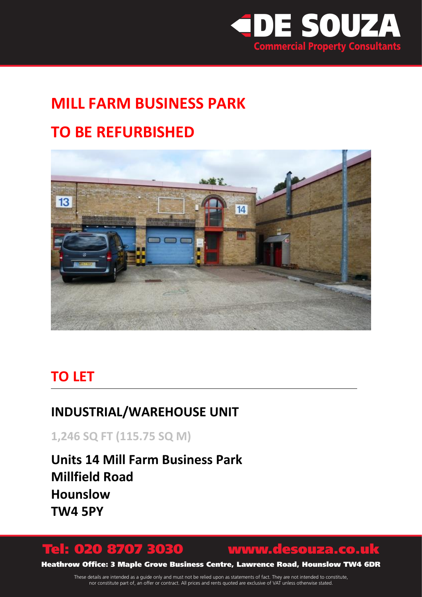

# **MILL FARM BUSINESS PARK TO BE REFURBISHED**



### **TO LET**

### **INDUSTRIAL/WAREHOUSE UNIT**

**1,246 SQ FT (115.75 SQ M)** 

**Units 14 Mill Farm Business Park Millfield Road Hounslow TW4 5PY**

### Tel: 020 8707 3030 www.desouza.co.uk

Heathrow Office: 3 Maple Grove Business Centre, Lawrence Road, Hounslow TW4 6DR